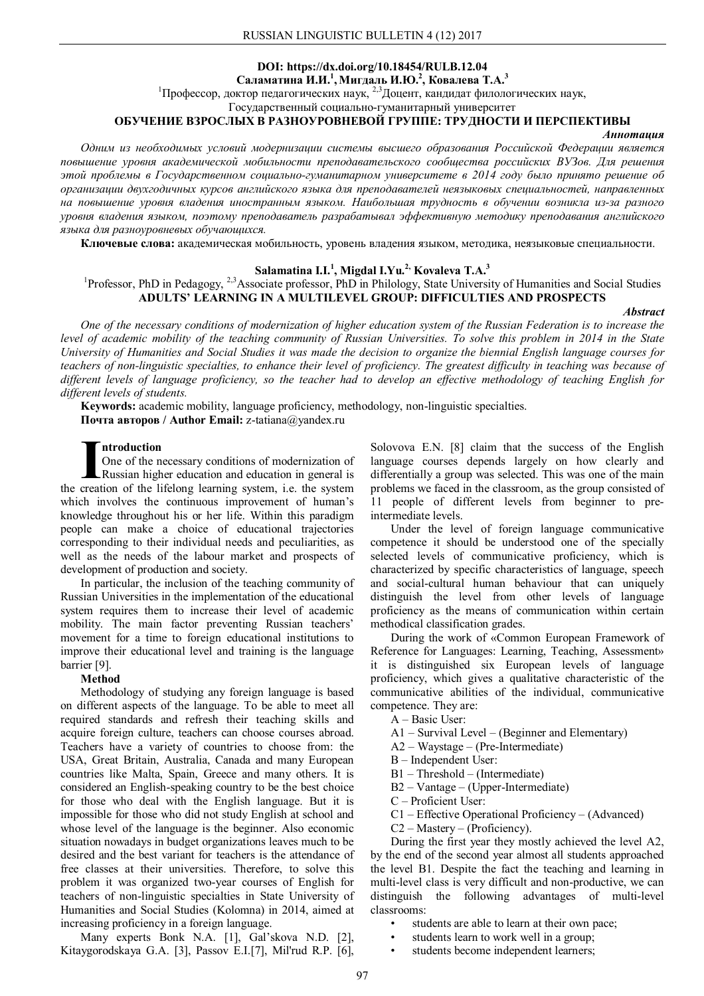#### **DOI: https://dx.doi.org/10.18454/RULB.12.04 Саламатина И.И.<sup>1</sup> ,Мигдаль И.Ю.<sup>2</sup> , Ковалева Т.А.<sup>3</sup>**

<sup>1</sup>Профессор, доктор педагогических наук, <sup>2,3</sup>Доцент, кандидат филологических наук,

Государственный социально-гуманитарный университет

#### **ОБУЧЕНИЕ ВЗРОСЛЫХ В РАЗНОУРОВНЕВОЙ ГРУППЕ: ТРУДНОСТИ И ПЕРСПЕКТИВЫ**

*Аннотация*

*Одним из необходимых условий модернизации системы высшего образования Российской Федерации является повышение уровня академической мобильности преподавательского сообщества российских ВУЗов. Для решения этой проблемы в Государственном социально-гуманитарном университете в 2014 году было принято решение об организации двухгодичных курсов английского языка для преподавателей неязыковых специальностей, направленных на повышение уровня владения иностранным языком. Наибольшая трудность в обучении возникла из-за разного уровня владения языком, поэтому преподаватель разрабатывал эффективную методику преподавания английского языка для разноуровневых обучающихся.*

**Ключевые слова:** академическая мобильность, уровень владения языком, методика, неязыковые специальности.

# **Salamatina I.I.<sup>1</sup> , Migdal I.Yu.2, Kovaleva T.A.<sup>3</sup>**

# <sup>1</sup>Professor, PhD in Pedagogy, <sup>2,3</sup>Associate professor, PhD in Philology, State University of Humanities and Social Studies **ADULTS' LEARNING IN A MULTILEVEL GROUP: DIFFICULTIES AND PROSPECTS**

#### *Abstract*

*One of the necessary conditions of modernization of higher education system of the Russian Federation is to increase the level of academic mobility of the teaching community of Russian Universities. To solve this problem in 2014 in the State University of Humanities and Social Studies it was made the decision to organize the biennial English language courses for teachers of non-linguistic specialties, to enhance their level of proficiency. The greatest difficulty in teaching was because of different levels of language proficiency, so the teacher had to develop an effective methodology of teaching English for different levels of students.*

**Keywords:** academic mobility, language proficiency, methodology, non-linguistic specialties. **Почта авторов / Author Email:** z-tatiana@yandex.ru

**ntroduction**

One of the necessary conditions of modernization of Russian higher education and education in general is the creation of the lifelong learning system, i.e. the system **I**which involves the continuous improvement of human's knowledge throughout his or her life. Within this paradigm people can make a choice of educational trajectories corresponding to their individual needs and peculiarities, as well as the needs of the labour market and prospects of development of production and society.

In particular, the inclusion of the teaching community of Russian Universities in the implementation of the educational system requires them to increase their level of academic mobility. The main factor preventing Russian teachers' movement for a time to foreign educational institutions to improve their educational level and training is the language barrier [9].

#### **Method**

Methodology of studying any foreign language is based on different aspects of the language. To be able to meet all required standards and refresh their teaching skills and acquire foreign culture, teachers can choose courses abroad. Teachers have a variety of countries to choose from: the USA, Great Britain, Australia, Canada and many European countries like Malta, Spain, Greece and many others. It is considered an English-speaking country to be the best choice for those who deal with the English language. But it is impossible for those who did not study English at school and whose level of the language is the beginner. Also economic situation nowadays in budget organizations leaves much to be desired and the best variant for teachers is the attendance of free classes at their universities. Therefore, to solve this problem it was organized two-year courses of English for teachers of non-linguistic specialties in State University of Humanities and Social Studies (Kolomna) in 2014, aimed at increasing proficiency in a foreign language.

Many experts Bonk N.A. [1], Gal'skova N.D. [2], Kitaygorodskaya G.A. [3], Passov E.I.[7], Mil'rud R.P. [6],

Solovova E.N. [8] claim that the success of the English language courses depends largely on how clearly and differentially a group was selected. This was one of the main problems we faced in the classroom, as the group consisted of 11 people of different levels from beginner to preintermediate levels.

Under the level of foreign language communicative competence it should be understood one of the specially selected levels of communicative proficiency, which is characterized by specific characteristics of language, speech and social-cultural human behaviour that can uniquely distinguish the level from other levels of language proficiency as the means of communication within certain methodical classification grades.

During the work of «Common European Framework of Reference for Languages: Learning, Teaching, Assessment» it is distinguished six European levels of language proficiency, which gives a qualitative characteristic of the communicative abilities of the individual, communicative competence. They are:

- A Basic User:
- A1 Survival Level (Beginner and Elementary)
- A2 Waystage (Pre-Intermediate)
- B Independent User:
- B1 Threshold (Intermediate)
- B2 Vantage (Upper-Intermediate)
- C Proficient User:
- C1 Effective Operational Proficiency (Advanced)
- C2 Mastery (Proficiency).

During the first year they mostly achieved the level A2, by the end of the second year almost all students approached the level B1. Despite the fact the teaching and learning in multi-level class is very difficult and non-productive, we can distinguish the following advantages of multi-level classrooms:

- students are able to learn at their own pace;
- students learn to work well in a group;
- students become independent learners;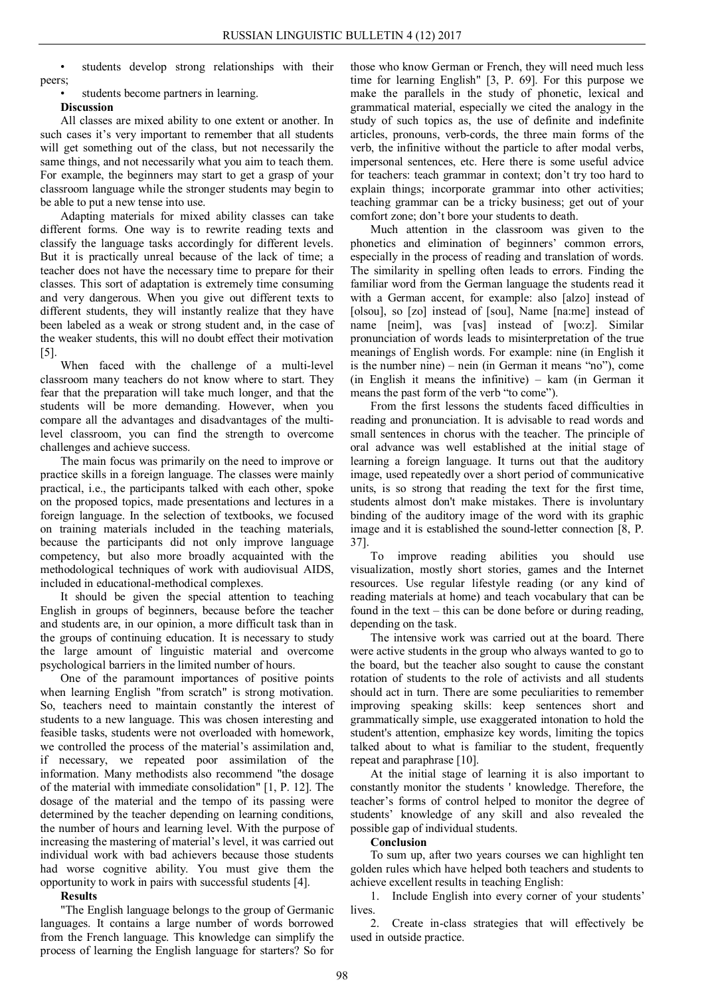students develop strong relationships with their peers;

students become partners in learning.

## **Discussion**

All classes are mixed ability to one extent or another. In such cases it's very important to remember that all students will get something out of the class, but not necessarily the same things, and not necessarily what you aim to teach them. For example, the beginners may start to get a grasp of your classroom language while the stronger students may begin to be able to put a new tense into use.

Adapting materials for mixed ability classes can take different forms. One way is to rewrite reading texts and classify the language tasks accordingly for different levels. But it is practically unreal because of the lack of time; a teacher does not have the necessary time to prepare for their classes. This sort of adaptation is extremely time consuming and very dangerous. When you give out different texts to different students, they will instantly realize that they have been labeled as a weak or strong student and, in the case of the weaker students, this will no doubt effect their motivation [5].

When faced with the challenge of a multi-level classroom many teachers do not know where to start. They fear that the preparation will take much longer, and that the students will be more demanding. However, when you compare all the advantages and disadvantages of the multilevel classroom, you can find the strength to overcome challenges and achieve success.

The main focus was primarily on the need to improve or practice skills in a foreign language. The classes were mainly practical, i.e., the participants talked with each other, spoke on the proposed topics, made presentations and lectures in a foreign language. In the selection of textbooks, we focused on training materials included in the teaching materials, because the participants did not only improve language competency, but also more broadly acquainted with the methodological techniques of work with audiovisual AIDS, included in educational-methodical complexes.

It should be given the special attention to teaching English in groups of beginners, because before the teacher and students are, in our opinion, a more difficult task than in the groups of continuing education. It is necessary to study the large amount of linguistic material and overcome psychological barriers in the limited number of hours.

One of the paramount importances of positive points when learning English "from scratch" is strong motivation. So, teachers need to maintain constantly the interest of students to a new language. This was chosen interesting and feasible tasks, students were not overloaded with homework, we controlled the process of the material's assimilation and, if necessary, we repeated poor assimilation of the information. Many methodists also recommend "the dosage of the material with immediate consolidation" [1, P. 12]. The dosage of the material and the tempo of its passing were determined by the teacher depending on learning conditions, the number of hours and learning level. With the purpose of increasing the mastering of material's level, it was carried out individual work with bad achievers because those students had worse cognitive ability. You must give them the opportunity to work in pairs with successful students [4].

#### **Results**

"The English language belongs to the group of Germanic languages. It contains a large number of words borrowed from the French language. This knowledge can simplify the process of learning the English language for starters? So for

those who know German or French, they will need much less time for learning English" [3, P. 69]. For this purpose we make the parallels in the study of phonetic, lexical and grammatical material, especially we cited the analogy in the study of such topics as, the use of definite and indefinite articles, pronouns, verb-cords, the three main forms of the verb, the infinitive without the particle to after modal verbs, impersonal sentences, etc. Here there is some useful advice for teachers: teach grammar in context; don't try too hard to explain things; incorporate grammar into other activities; teaching grammar can be a tricky business; get out of your comfort zone; don't bore your students to death.

Much attention in the classroom was given to the phonetics and elimination of beginners' common errors, especially in the process of reading and translation of words. The similarity in spelling often leads to errors. Finding the familiar word from the German language the students read it with a German accent, for example: also [alzo] instead of [olsou], so [zo] instead of [sou], Name [na:me] instead of name [neim], was [vas] instead of [wo:z]. Similar pronunciation of words leads to misinterpretation of the true meanings of English words. For example: nine (in English it is the number nine) – nein (in German it means "no"), come (in English it means the infinitive) – kam (in German it means the past form of the verb "to come").

From the first lessons the students faced difficulties in reading and pronunciation. It is advisable to read words and small sentences in chorus with the teacher. The principle of oral advance was well established at the initial stage of learning a foreign language. It turns out that the auditory image, used repeatedly over a short period of communicative units, is so strong that reading the text for the first time, students almost don't make mistakes. There is involuntary binding of the auditory image of the word with its graphic image and it is established the sound-letter connection [8, P. 37].

To improve reading abilities you should use visualization, mostly short stories, games and the Internet resources. Use regular lifestyle reading (or any kind of reading materials at home) and teach vocabulary that can be found in the text – this can be done before or during reading, depending on the task.

The intensive work was carried out at the board. There were active students in the group who always wanted to go to the board, but the teacher also sought to cause the constant rotation of students to the role of activists and all students should act in turn. There are some peculiarities to remember improving speaking skills: keep sentences short and grammatically simple, use exaggerated intonation to hold the student's attention, emphasize key words, limiting the topics talked about to what is familiar to the student, frequently repeat and paraphrase [10].

At the initial stage of learning it is also important to constantly monitor the students ' knowledge. Therefore, the teacher's forms of control helped to monitor the degree of students' knowledge of any skill and also revealed the possible gap of individual students.

#### **Conclusion**

To sum up, after two years courses we can highlight ten golden rules which have helped both teachers and students to achieve excellent results in teaching English:

1. Include English into every corner of your students' lives.

2. Create in-class strategies that will effectively be used in outside practice.